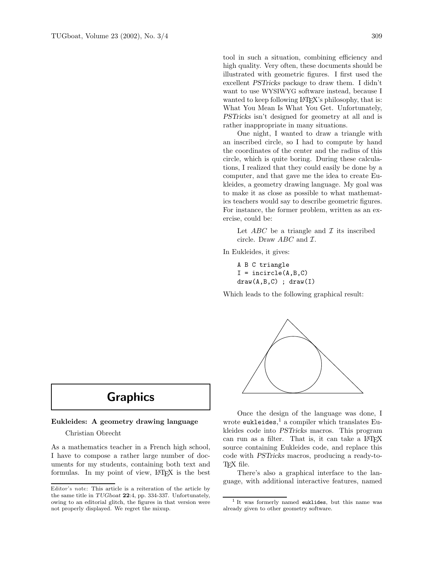tool in such a situation, combining efficiency and high quality. Very often, these documents should be illustrated with geometric figures. I first used the excellent PSTricks package to draw them. I didn't want to use WYSIWYG software instead, because I wanted to keep following LAT<sub>EX</sub>'s philosophy, that is: What You Mean Is What You Get. Unfortunately, PSTricks isn't designed for geometry at all and is rather inappropriate in many situations.

One night, I wanted to draw a triangle with an inscribed circle, so I had to compute by hand the coordinates of the center and the radius of this circle, which is quite boring. During these calculations, I realized that they could easily be done by a computer, and that gave me the idea to create Eukleides, a geometry drawing language. My goal was to make it as close as possible to what mathematics teachers would say to describe geometric figures. For instance, the former problem, written as an exercise, could be:

Let  $ABC$  be a triangle and  $\mathcal I$  its inscribed circle. Draw  $ABC$  and  $\mathcal{I}$ .

In Eukleides, it gives:

A B C triangle  $I = incircle(A, B, C)$  $draw(A, B, C)$ ;  $draw(I)$ 

Which leads to the following graphical result:



# Graphics

## Eukleides: A geometry drawing language

Christian Obrecht

As a mathematics teacher in a French high school, I have to compose a rather large number of documents for my students, containing both text and formulas. In my point of view, LAT<sub>F</sub>X is the best

Once the design of the language was done, I wrote eukleides, <sup>1</sup> a compiler which translates Eukleides code into PSTricks macros. This program can run as a filter. That is, it can take a LAT<sub>EX</sub> source containing Eukleides code, and replace this code with PSTricks macros, producing a ready-to-TFX file.

There's also a graphical interface to the language, with additional interactive features, named

Editor's note: This article is a reiteration of the article by the same title in TUGboat 22:4, pp. 334-337. Unfortunately, owing to an editorial glitch, the figures in that version were not properly displayed. We regret the mixup.

<sup>1</sup> It was formerly named euklides, but this name was already given to other geometry software.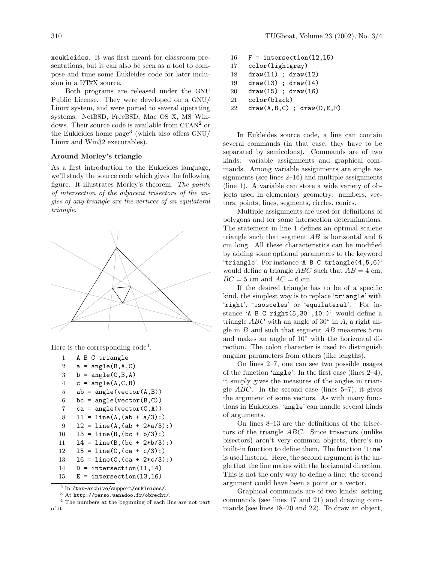xeukleides. It was first meant for classroom presentations, but it can also be seen as a tool to compose and tune some Eukleides code for later inclusion in a IATFX source.

Both programs are released under the GNU Public License. They were developed on a GNU/ Linux system, and were ported to several operating systems: NetBSD, FreeBSD, Mac OS X, MS Windows. Their source code is available from  $CTAN<sup>2</sup>$  or the Eukleides home page<sup>3</sup> (which also offers  $GNU/$ Linux and Win32 executables).

# Around Morley's triangle

As a first introduction to the Eukleides language, we'll study the source code which gives the following figure. It illustrates Morley's theorem: The points of intersection of the adjacent trisectors of the angles of any triangle are the vertices of an equilateral triangle.



Here is the corresponding  $\text{code}^4$ .

```
1 A B C triangle
 2 a = angle(B, A, C)3 \quad b = angle(C, B, A)4 c = angle(A, C, B)5 ab = angle(vector(A, B))
6 bc = angle(vector(B, C))
 7 ca = angle(vector(C, A))
8 11 = line(A, (ab + a/3)):
9 12 = line(A, (ab + 2*a/3)):
10 13 = line(B, (bc + b/3)):
11 14 = line(B, (bc + 2*b/3))12 15 = line(C, (ca + c/3)):
13 16 = line(C, (ca + 2*c/3):)
14 D = intersection(11,14)
15 E = intersection(13,16)
```
 $^2$  In /tex-archive/support/eukleides/.

- $16$  F = intersection(12,15) 17 color(lightgray) 18 draw(l1) ; draw(l2) 19 draw(l3) ; draw(l4) 20 draw(l5) ; draw(l6) 21 color(black)
- $22$  draw(A,B,C) ; draw(D,E,F)

In Eukleides source code, a line can contain several commands (in that case, they have to be separated by semicolons). Commands are of two kinds: variable assignments and graphical commands. Among variable assignments are single assignments (see lines 2–16) and multiple assignments (line 1). A variable can store a wide variety of objects used in elementary geometry: numbers, vectors, points, lines, segments, circles, conics.

Multiple assignments are used for definitions of polygons and for some intersection determinations. The statement in line 1 defines an optimal scalene triangle such that segment  $AB$  is horizontal and 6 cm long. All these characteristics can be modified by adding some optional parameters to the keyword 'triangle'. For instance 'A B C triangle(4,5,6)' would define a triangle ABC such that  $AB = 4$  cm,  $BC = 5$  cm and  $AC = 6$  cm.

If the desired triangle has to be of a specific kind, the simplest way is to replace 'triangle' with 'right', 'isosceles' or 'equilateral'. For instance  $A \text{ B } C$  right $(5,30:,10:)$  would define a triangle  $ABC$  with an angle of 30 $\degree$  in A, a right angle in  $B$  and such that segment  $AB$  measures  $5 \text{ cm}$ and makes an angle of 10◦ with the horizontal direction. The colon character is used to distinguish angular parameters from others (like lengths).

On lines 2–7, one can see two possible usages of the function 'angle'. In the first case (lines 2–4), it simply gives the measures of the angles in triangle  $ABC$ . In the second case (lines 5–7), it gives the argument of some vectors. As with many functions in Eukleides, 'angle' can handle several kinds of arguments.

On lines 8–13 are the definitions of the trisectors of the triangle ABC. Since trisectors (unlike bisectors) aren't very common objects, there's no built-in function to define them. The function 'line' is used instead. Here, the second argument is the angle that the line makes with the horizontal direction. This is not the only way to define a line: the second argument could have been a point or a vector.

Graphical commands are of two kinds: setting commands (see lines 17 and 21) and drawing commands (see lines 18–20 and 22). To draw an object,

<sup>3</sup> At http://perso.wanadoo.fr/obrecht/.

<sup>4</sup> The numbers at the beginning of each line are not part of it.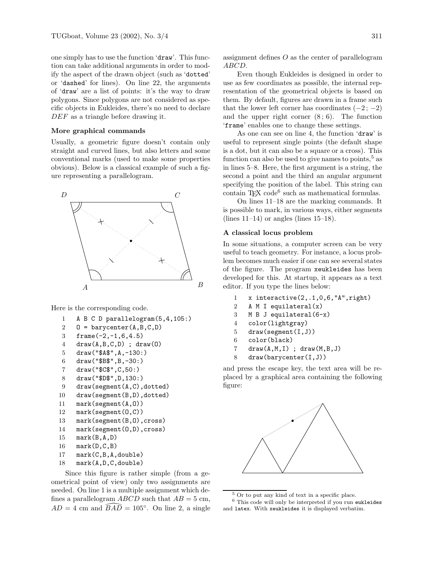one simply has to use the function 'draw'. This function can take additional arguments in order to modify the aspect of the drawn object (such as 'dotted' or 'dashed' for lines). On line 22, the arguments of 'draw' are a list of points: it's the way to draw polygons. Since polygons are not considered as specific objects in Eukleides, there's no need to declare DEF as a triangle before drawing it.

#### More graphical commands

Usually, a geometric figure doesn't contain only straight and curved lines, but also letters and some conventional marks (used to make some properties obvious). Below is a classical example of such a figure representing a parallelogram.



Here is the corresponding code.

- 1 A B C D parallelogram(5,4,105:)
- $2 \quad 0 = \text{barycenter}(A, B, C, D)$
- 3 frame(-2,-1,6,4.5)
- $4 \quad \text{draw}(A, B, C, D)$ ; draw $(0)$
- 5 draw("\$A\$",A,-130:)
- 6 draw("\$B\$",B,-30:)
- 7 draw("\$C\$",C,50:)
- 8 draw("\$D\$",D,130:)
- 9 draw(segment(A,C),dotted)
- 10 draw(segment(B,D),dotted)
- 11 mark(segment(A,O))
- 12 mark(segment(O,C))
- 13 mark(segment(B,O),cross)
- 14 mark(segment(O,D),cross)
- 15 mark(B,A,D)

```
16 mark(D,C,B)
```
17 mark(C,B,A,double)

```
18 mark(A,D,C,double)
```
Since this figure is rather simple (from a geometrical point of view) only two assignments are needed. On line 1 is a multiple assignment which defines a parallelogram  $ABCD$  such that  $AB = 5$  cm,  $AD = 4$  cm and  $\widehat{BAD} = 105^\circ$ . On line 2, a single

assignment defines  $O$  as the center of parallelogram ABCD.

Even though Eukleides is designed in order to use as few coordinates as possible, the internal representation of the geometrical objects is based on them. By default, figures are drawn in a frame such that the lower left corner has coordinates  $(-2, -2)$ and the upper right corner  $(8; 6)$ . The function 'frame' enables one to change these settings.

As one can see on line 4, the function 'draw' is useful to represent single points (the default shape is a dot, but it can also be a square or a cross). This function can also be used to give names to points,  $5$  as in lines 5–8. Here, the first argument is a string, the second a point and the third an angular argument specifying the position of the label. This string can contain T<sub>E</sub>X code<sup>6</sup> such as mathematical formulas.

On lines 11–18 are the marking commands. It is possible to mark, in various ways, either segments (lines  $11-14$ ) or angles (lines  $15-18$ ).

# A classical locus problem

In some situations, a computer screen can be very useful to teach geometry. For instance, a locus problem becomes much easier if one can see several states of the figure. The program xeukleides has been developed for this. At startup, it appears as a text editor. If you type the lines below:

- 1 x interactive(2,.1,0,6,"A",right)
- 2 A M I equilateral(x)
- 3 M B J equilateral(6-x)
- 4 color(lightgray)
- 5 draw(segment(I,J))
- 6 color(black)
- 7 draw(A,M,I) ; draw(M,B,J)
- 8 draw(barycenter(I,J))

and press the escape key, the text area will be replaced by a graphical area containing the following figure:



<sup>5</sup> Or to put any kind of text in a specific place.

<sup>6</sup> This code will only be interpreted if you run eukleides and latex. With xeukleides it is displayed verbatim.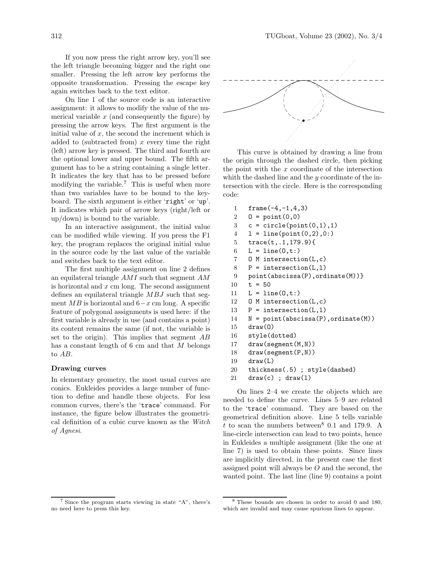If you now press the right arrow key, you'll see the left triangle becoming bigger and the right one smaller. Pressing the left arrow key performs the opposite transformation. Pressing the escape key again switches back to the text editor.

On line 1 of the source code is an interactive assignment: it allows to modify the value of the numerical variable  $x$  (and consequently the figure) by pressing the arrow keys. The first argument is the initial value of  $x$ , the second the increment which is added to (subtracted from)  $x$  every time the right (left) arrow key is pressed. The third and fourth are the optional lower and upper bound. The fifth argument has to be a string containing a single letter. It indicates the key that has to be pressed before modifying the variable.<sup>7</sup> This is useful when more than two variables have to be bound to the keyboard. The sixth argument is either 'right' or 'up'. It indicates which pair of arrow keys (right/left or up/down) is bound to the variable.

In an interactive assignment, the initial value can be modified while viewing. If you press the F1 key, the program replaces the original initial value in the source code by the last value of the variable and switches back to the text editor.

The first multiple assignment on line 2 defines an equilateral triangle AMI such that segment AM is horizontal and  $x$  cm long. The second assignment defines an equilateral triangle MBJ such that segment  $MB$  is horizontal and  $6-x$  cm long. A specific feature of polygonal assignments is used here: if the first variable is already in use (and contains a point) its content remains the same (if not, the variable is set to the origin). This implies that segment AB has a constant length of  $6 \text{ cm}$  and that  $M$  belongs to AB.

### Drawing curves

In elementary geometry, the most usual curves are conics. Eukleides provides a large number of function to define and handle these objects. For less common curves, there's the 'trace' command. For instance, the figure below illustrates the geometrical definition of a cubic curve known as the Witch of Agnesi.



This curve is obtained by drawing a line from the origin through the dashed circle, then picking the point with the  $x$  coordinate of the intersection whith the dashed line and the y coordinate of the intersection with the circle. Here is the corresponding code:

| 1              | $frame(-4, -1, 4, 3)$                     |
|----------------|-------------------------------------------|
| $\overline{2}$ | $0 = point(0,0)$                          |
| 3              | $c = circle(point(0,1), 1)$               |
| $\overline{4}$ | $1 = line(point(0, 2), 0:)$               |
| $5^{\circ}$    | $trace(t, .1, 179.9)$ {                   |
| 6              | $L = line(0, t: )$                        |
| $\,7$          | $0 \text{ M}$ intersection(L,c)           |
| 8              | $P =$ intersection(L,1)                   |
| 9              | point(abscissa(P), ordinate(M))}          |
| 10             | $t = 50$                                  |
| 11             | $L = line(0, t: )$                        |
| 12             | $0$ M intersection(L,c)                   |
| 13             | $P =$ intersection(L,1)                   |
| 14             | $N = point(abscissa(P), ordinate(M))$     |
| 15             | draw(0)                                   |
| 16             | style(dotted)                             |
| 17             | draw(segment(M,N))                        |
| 18             | draw(segment(P, N))                       |
| 19             | draw(L)                                   |
| 20             | thickness(.5); style(dashed)              |
| $\sim$ $-$     | $\sim$ $\sim$ $\sim$ $\sim$ $\sim$ $\sim$ |

21 draw(c) ; draw(1)

On lines 2–4 we create the objects which are needed to define the curve. Lines 5–9 are related to the 'trace' command. They are based on the geometrical definition above. Line 5 tells variable t to scan the numbers between<sup>8</sup> 0.1 and 179.9. A line-circle intersection can lead to two points, hence in Eukleides a multiple assignment (like the one at line 7) is used to obtain these points. Since lines are implicitly directed, in the present case the first assigned point will always be  $O$  and the second, the wanted point. The last line (line 9) contains a point

<sup>&</sup>lt;sup>7</sup> Since the program starts viewing in state "A", there's no need here to press this key.

<sup>8</sup> These bounds are chosen in order to avoid 0 and 180, which are invalid and may cause spurious lines to appear.